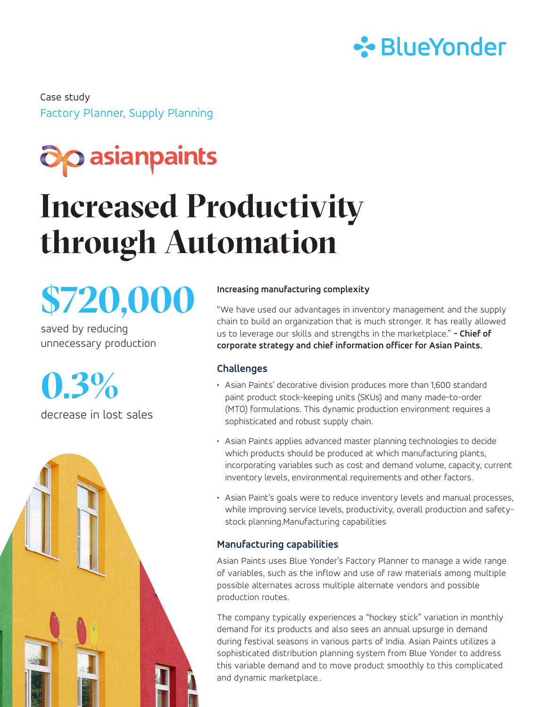

Factory Planner, Supply Planning Case study

### **a**p asianpaints

## **Increased Productivity through Automation**

# **\$720,000**

saved by reducing unnecessary production

**0.3%** decrease in lost sales



#### **Increasing manufacturing complexity**

"We have used our advantages in inventory management and the supply chain to build an organization that is much stronger. It has really allowed us to leverage our skills and strengths in the marketplace." **- Chief of corporate strategy and chief information officer for Asian Paints.**

#### **Challenges**

- Asian Paints' decorative division produces more than 1,600 standard paint product stock-keeping units (SKUs) and many made-to-order (MTO) formulations. This dynamic production environment requires a sophisticated and robust supply chain.
- Asian Paints applies advanced master planning technologies to decide which products should be produced at which manufacturing plants, incorporating variables such as cost and demand volume, capacity, current inventory levels, environmental requirements and other factors.
- Asian Paint's goals were to reduce inventory levels and manual processes, while improving service levels, productivity, overall production and safetystock planning.Manufacturing capabilities

#### **Manufacturing capabilities**

Asian Paints uses Blue Yonder's Factory Planner to manage a wide range of variables, such as the inflow and use of raw materials among multiple possible alternates across multiple alternate vendors and possible production routes.

The company typically experiences a "hockey stick" variation in monthly demand for its products and also sees an annual upsurge in demand during festival seasons in various parts of India. Asian Paints utilizes a sophisticated distribution planning system from Blue Yonder to address this variable demand and to move product smoothly to this complicated and dynamic marketplace..